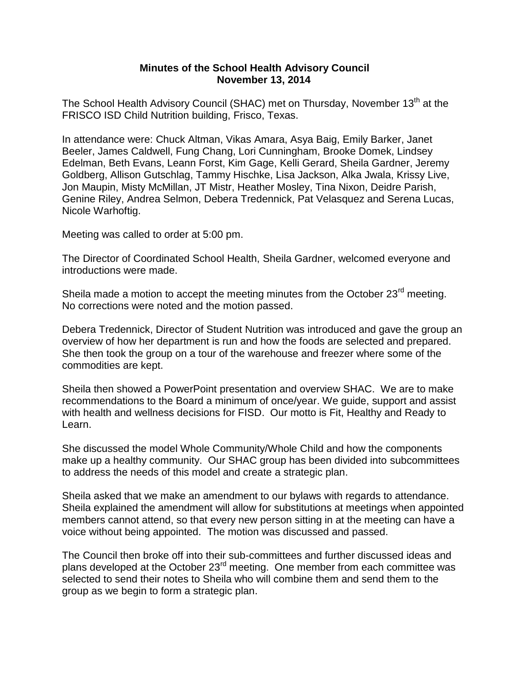## **Minutes of the School Health Advisory Council November 13, 2014**

The School Health Advisory Council (SHAC) met on Thursday, November 13<sup>th</sup> at the FRISCO ISD Child Nutrition building, Frisco, Texas.

In attendance were: Chuck Altman, Vikas Amara, Asya Baig, Emily Barker, Janet Beeler, James Caldwell, Fung Chang, Lori Cunningham, Brooke Domek, Lindsey Edelman, Beth Evans, Leann Forst, Kim Gage, Kelli Gerard, Sheila Gardner, Jeremy Goldberg, Allison Gutschlag, Tammy Hischke, Lisa Jackson, Alka Jwala, Krissy Live, Jon Maupin, Misty McMillan, JT Mistr, Heather Mosley, Tina Nixon, Deidre Parish, Genine Riley, Andrea Selmon, Debera Tredennick, Pat Velasquez and Serena Lucas, Nicole Warhoftig.

Meeting was called to order at 5:00 pm.

The Director of Coordinated School Health, Sheila Gardner, welcomed everyone and introductions were made.

Sheila made a motion to accept the meeting minutes from the October 23<sup>rd</sup> meeting. No corrections were noted and the motion passed.

Debera Tredennick, Director of Student Nutrition was introduced and gave the group an overview of how her department is run and how the foods are selected and prepared. She then took the group on a tour of the warehouse and freezer where some of the commodities are kept.

Sheila then showed a PowerPoint presentation and overview SHAC. We are to make recommendations to the Board a minimum of once/year. We guide, support and assist with health and wellness decisions for FISD. Our motto is Fit, Healthy and Ready to Learn.

She discussed the model Whole Community/Whole Child and how the components make up a healthy community. Our SHAC group has been divided into subcommittees to address the needs of this model and create a strategic plan.

Sheila asked that we make an amendment to our bylaws with regards to attendance. Sheila explained the amendment will allow for substitutions at meetings when appointed members cannot attend, so that every new person sitting in at the meeting can have a voice without being appointed. The motion was discussed and passed.

The Council then broke off into their sub-committees and further discussed ideas and plans developed at the October  $23<sup>rd</sup>$  meeting. One member from each committee was selected to send their notes to Sheila who will combine them and send them to the group as we begin to form a strategic plan.